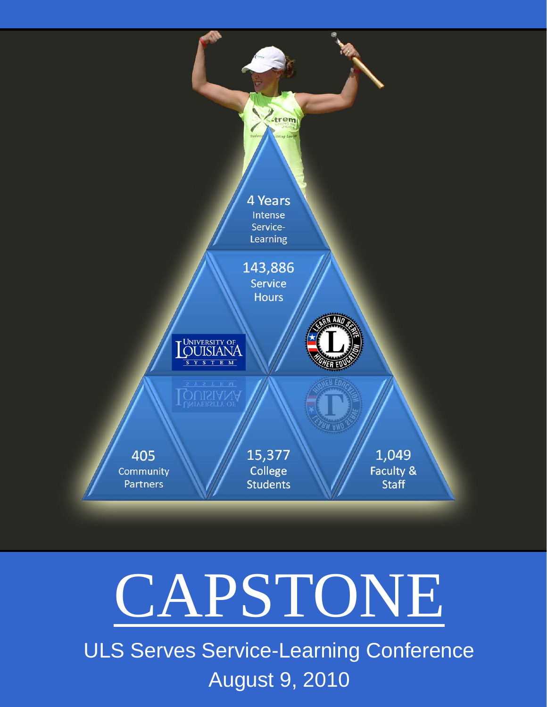

# CAPSTONE

ULS Serves Service-Learning Conference August 9, 2010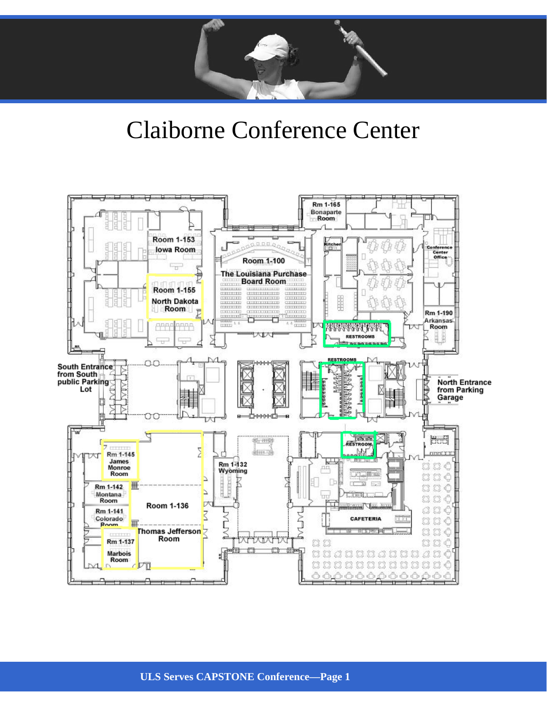

## Claiborne Conference Center

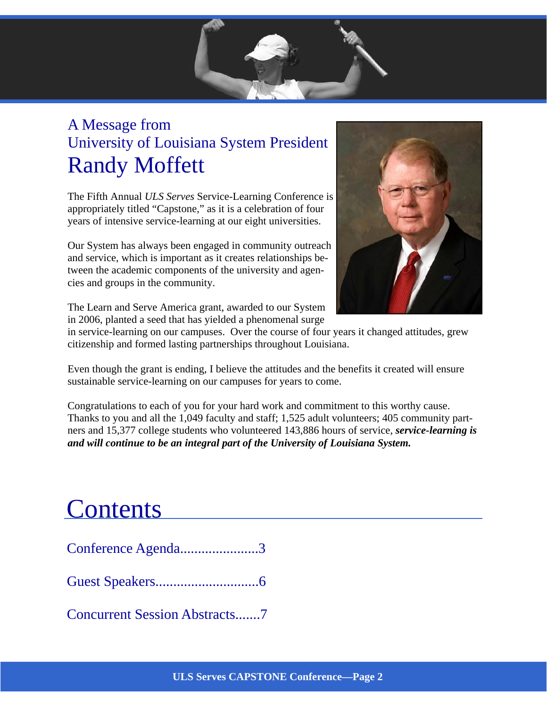## A Message from University of Louisiana System President Randy Moffett

The Fifth Annual *ULS Serves* Service-Learning Conference is appropriately titled "Capstone," as it is a celebration of four years of intensive service-learning at our eight universities.

Our System has always been engaged in community outreach and service, which is important as it creates relationships between the academic components of the university and agencies and groups in the community.



The Learn and Serve America grant, awarded to our System in 2006, planted a seed that has yielded a phenomenal surge

in service-learning on our campuses. Over the course of four years it changed attitudes, grew citizenship and formed lasting partnerships throughout Louisiana.

Even though the grant is ending, I believe the attitudes and the benefits it created will ensure sustainable service-learning on our campuses for years to come.

Congratulations to each of you for your hard work and commitment to this worthy cause. Thanks to you and all the 1,049 faculty and staff; 1,525 adult volunteers; 405 community partners and 15,377 college students who volunteered 143,886 hours of service, *service-learning is and will continue to be an integral part of the University of Louisiana System.* 

# **Contents**

Conference Agenda......................3

Guest Speakers.............................6

Concurrent Session Abstracts.......7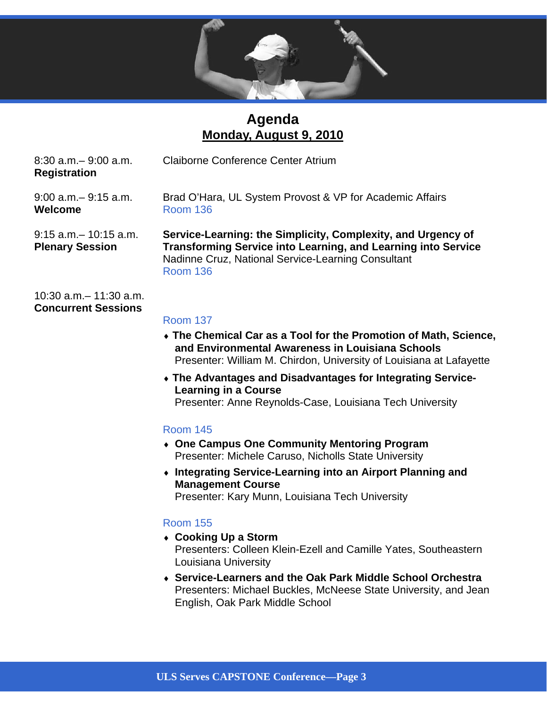

### **Agenda Monday, August 9, 2010**

**Registration** 

8:30 a.m.– 9:00 a.m. Claiborne Conference Center Atrium

**Welcome** Room 136

9:00 a.m.– 9:15 a.m. Brad O'Hara, UL System Provost & VP for Academic Affairs

9:15 a.m.– 10:15 a.m. **Service-Learning: the Simplicity, Complexity, and Urgency of Plenary Session Transforming Service into Learning, and Learning into Service** Nadinne Cruz, National Service-Learning Consultant Room 136

10:30 a.m.– 11:30 a.m. **Concurrent Sessions** 

#### Room 137

- **The Chemical Car as a Tool for the Promotion of Math, Science, and Environmental Awareness in Louisiana Schools** Presenter: William M. Chirdon, University of Louisiana at Lafayette
- **The Advantages and Disadvantages for Integrating Service- Learning in a Course** Presenter: Anne Reynolds-Case, Louisiana Tech University

#### Room 145

- **One Campus One Community Mentoring Program**  Presenter: Michele Caruso, Nicholls State University
- **Integrating Service-Learning into an Airport Planning and Management Course**  Presenter: Kary Munn, Louisiana Tech University

#### Room 155

- **Cooking Up a Storm**  Presenters: Colleen Klein-Ezell and Camille Yates, Southeastern Louisiana University
- **Service-Learners and the Oak Park Middle School Orchestra**  Presenters: Michael Buckles, McNeese State University, and Jean English, Oak Park Middle School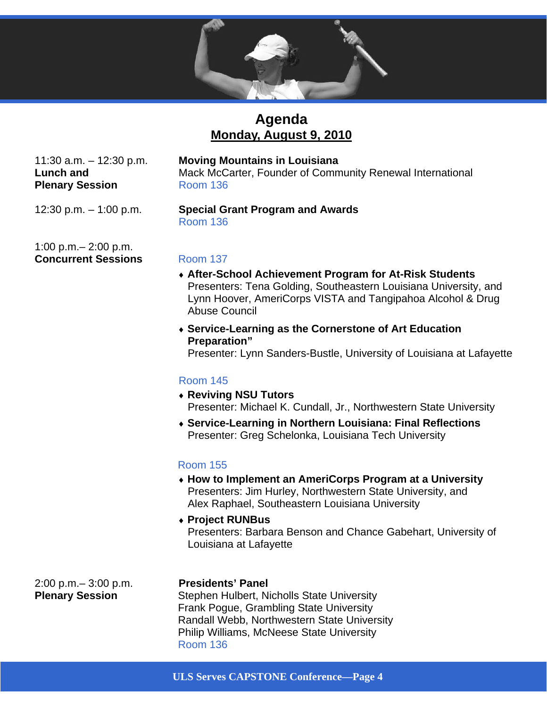

## **Agenda Monday, August 9, 2010**

11:30 a.m. – 12:30 p.m. **Moving Mountains in Louisiana**

**Lunch and Mack McCarter, Founder of Community Renewal International Plenary Session Room 136** 

1:00 p.m.– 2:00 p.m. **Concurrent Sessions Room 137** 

#### 12:30 p.m. – 1:00 p.m. **Special Grant Program and Awards** Room 136

- **After-School Achievement Program for At-Risk Students** Presenters: Tena Golding, Southeastern Louisiana University, and Lynn Hoover, AmeriCorps VISTA and Tangipahoa Alcohol & Drug Abuse Council
- **Service-Learning as the Cornerstone of Art Education Preparation"**

Presenter: Lynn Sanders-Bustle, University of Louisiana at Lafayette

#### Room 145

- **Reviving NSU Tutors** Presenter: Michael K. Cundall, Jr., Northwestern State University
- **Service-Learning in Northern Louisiana: Final Reflections** Presenter: Greg Schelonka, Louisiana Tech University

#### Room 155

- **How to Implement an AmeriCorps Program at a University** Presenters: Jim Hurley, Northwestern State University, and Alex Raphael, Southeastern Louisiana University
- **Project RUNBus** Presenters: Barbara Benson and Chance Gabehart, University of Louisiana at Lafayette

2:00 p.m.– 3:00 p.m. **Presidents' Panel** 

**Plenary Session** Stephen Hulbert, Nicholls State University Frank Pogue, Grambling State University Randall Webb, Northwestern State University Philip Williams, McNeese State University Room 136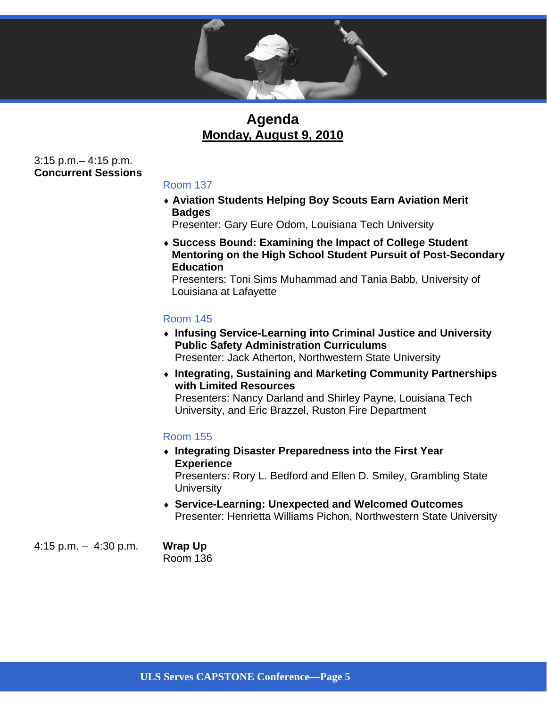

### **Agenda Monday, August 9, 2010**

3:15 p.m.– 4:15 p.m. **Concurrent Sessions** 

#### Room 137

 **Aviation Students Helping Boy Scouts Earn Aviation Merit Badges** 

Presenter: Gary Eure Odom, Louisiana Tech University

 **Success Bound: Examining the Impact of College Student Mentoring on the High School Student Pursuit of Post-Secondary Education** 

Presenters: Toni Sims Muhammad and Tania Babb, University of Louisiana at Lafayette

#### Room 145

- **Infusing Service-Learning into Criminal Justice and University Public Safety Administration Curriculums**  Presenter: Jack Atherton, Northwestern State University
- **Integrating, Sustaining and Marketing Community Partnerships with Limited Resources**  Presenters: Nancy Darland and Shirley Payne, Louisiana Tech

University, and Eric Brazzel, Ruston Fire Department

#### Room 155

- **Integrating Disaster Preparedness into the First Year Experience**  Presenters: Rory L. Bedford and Ellen D. Smiley, Grambling State **University**
- **Service-Learning: Unexpected and Welcomed Outcomes**  Presenter: Henrietta Williams Pichon, Northwestern State University

4:15 p.m. – 4:30 p.m. **Wrap Up**

Room 136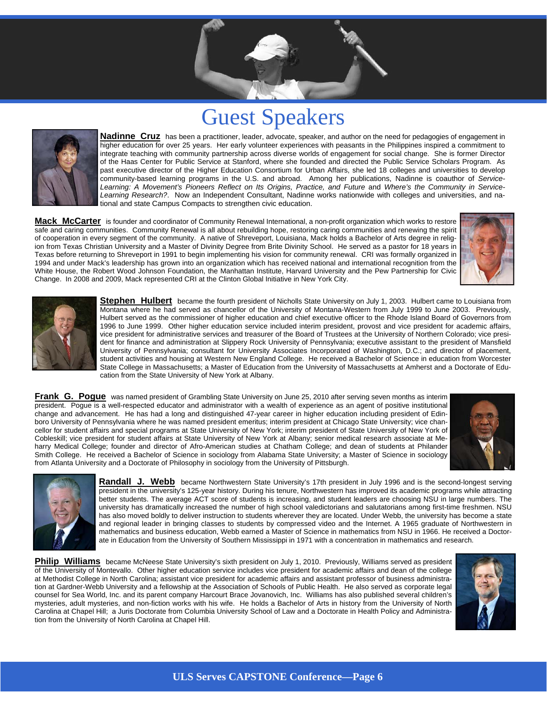## Guest Speakers

Presidents' Panel **Page 8**



**Nadinne Cruz** has been a practitioner, leader, advocate, speaker, and author on the need for pedagogies of engagement in higher education for over 25 years. Her early volunteer experiences with peasants in the Philippines inspired a commitment to integrate teaching with community partnership across diverse worlds of engagement for social change. She is former Director of the Haas Center for Public Service at Stanford, where she founded and directed the Public Service Scholars Program. As past executive director of the Higher Education Consortium for Urban Affairs, she led 18 colleges and universities to develop community-based learning programs in the U.S. and abroad. Among her publications, Nadinne is coauthor of *Service-*Learning: A Movement's Pioneers Reflect on Its Origins, Practice, and Future and Where's the Community in Service-*Learning Research?*. Now an Independent Consultant, Nadinne works nationwide with colleges and universities, and national and state Campus Compacts to strengthen civic education.

**Mack McCarter** is founder and coordinator of Community Renewal International, a non-profit organization which works to restore safe and caring communities. Community Renewal is all about rebuilding hope, restoring caring communities and renewing the spirit of cooperation in every segment of the community. A native of Shreveport, Louisiana, Mack holds a Bachelor of Arts degree in religion from Texas Christian University and a Master of Divinity Degree from Brite Divinity School. He served as a pastor for 18 years in Texas before returning to Shreveport in 1991 to begin implementing his vision for community renewal. CRI was formally organized in 1994 and under Mack's leadership has grown into an organization which has received national and international recognition from the White House, the Robert Wood Johnson Foundation, the Manhattan Institute, Harvard University and the Pew Partnership for Civic Change. In 2008 and 2009, Mack represented CRI at the Clinton Global Initiative in New York City.





**Stephen Hulbert** became the fourth president of Nicholls State University on July 1, 2003. Hulbert came to Louisiana from Montana where he had served as chancellor of the University of Montana-Western from July 1999 to June 2003. Previously, Hulbert served as the commissioner of higher education and chief executive officer to the Rhode Island Board of Governors from 1996 to June 1999. Other higher education service included interim president, provost and vice president for academic affairs, vice president for administrative services and treasurer of the Board of Trustees at the University of Northern Colorado; vice president for finance and administration at Slippery Rock University of Pennsylvania; executive assistant to the president of Mansfield University of Pennsylvania; consultant for University Associates Incorporated of Washington, D.C.; and director of placement, student activities and housing at Western New England College. He received a Bachelor of Science in education from Worcester State College in Massachusetts; a Master of Education from the University of Massachusetts at Amherst and a Doctorate of Education from the State University of New York at Albany.

**Frank G. Pogue** was named president of Grambling State University on June 25, 2010 after serving seven months as interim president. Pogue is a well-respected educator and administrator with a wealth of experience as an agent of positive institutional change and advancement. He has had a long and distinguished 47-year career in higher education including president of Edinboro University of Pennsylvania where he was named president emeritus; interim president at Chicago State University; vice chancellor for student affairs and special programs at State University of New York; interim president of State University of New York of Cobleskill; vice president for student affairs at State University of New York at Albany; senior medical research associate at Meharry Medical College; founder and director of Afro-American studies at Chatham College; and dean of students at Philander Smith College. He received a Bachelor of Science in sociology from Alabama State University; a Master of Science in sociology from Atlanta University and a Doctorate of Philosophy in sociology from the University of Pittsburgh.





**Randall J. Webb** became Northwestern State University's 17th president in July 1996 and is the second-longest serving president in the university's 125-year history. During his tenure, Northwestern has improved its academic programs while attracting better students. The average ACT score of students is increasing, and student leaders are choosing NSU in large numbers. The university has dramatically increased the number of high school valedictorians and salutatorians among first-time freshmen. NSU has also moved boldly to deliver instruction to students wherever they are located. Under Webb, the university has become a state and regional leader in bringing classes to students by compressed video and the Internet. A 1965 graduate of Northwestern in mathematics and business education, Webb earned a Master of Science in mathematics from NSU in 1966. He received a Doctorate in Education from the University of Southern Mississippi in 1971 with a concentration in mathematics and research.

**Philip Williams** became McNeese State University's sixth president on July 1, 2010. Previously, Williams served as president of the University of Montevallo. Other higher education service includes vice president for academic affairs and dean of the college at Methodist College in North Carolina; assistant vice president for academic affairs and assistant professor of business administration at Gardner-Webb University and a fellowship at the Association of Schools of Public Health. He also served as corporate legal counsel for Sea World, Inc. and its parent company Harcourt Brace Jovanovich, Inc. Williams has also published several children's mysteries, adult mysteries, and non-fiction works with his wife. He holds a Bachelor of Arts in history from the University of North Carolina at Chapel Hill; a Juris Doctorate from Columbia University School of Law and a Doctorate in Health Policy and Administration from the University of North Carolina at Chapel Hill.

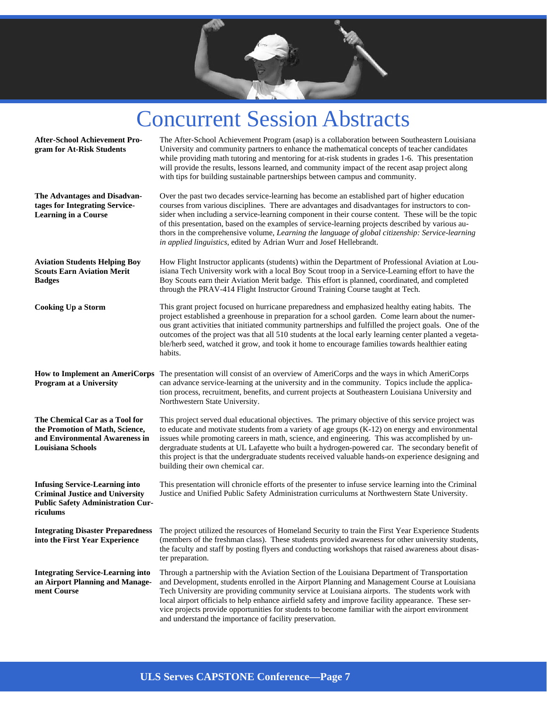

## Concurrent Session Abstracts

| <b>After-School Achievement Pro-</b><br>gram for At-Risk Students                                                                       | The After-School Achievement Program (asap) is a collaboration between Southeastern Louisiana<br>University and community partners to enhance the mathematical concepts of teacher candidates<br>while providing math tutoring and mentoring for at-risk students in grades 1-6. This presentation<br>will provide the results, lessons learned, and community impact of the recent asap project along<br>with tips for building sustainable partnerships between campus and community.                                                                                                  |
|-----------------------------------------------------------------------------------------------------------------------------------------|------------------------------------------------------------------------------------------------------------------------------------------------------------------------------------------------------------------------------------------------------------------------------------------------------------------------------------------------------------------------------------------------------------------------------------------------------------------------------------------------------------------------------------------------------------------------------------------|
| The Advantages and Disadvan-<br>tages for Integrating Service-<br><b>Learning in a Course</b>                                           | Over the past two decades service-learning has become an established part of higher education<br>courses from various disciplines. There are advantages and disadvantages for instructors to con-<br>sider when including a service-learning component in their course content. These will be the topic<br>of this presentation, based on the examples of service-learning projects described by various au-<br>thors in the comprehensive volume, Learning the language of global citizenship: Service-learning<br>in applied linguistics, edited by Adrian Wurr and Josef Hellebrandt. |
| <b>Aviation Students Helping Boy</b><br><b>Scouts Earn Aviation Merit</b><br><b>Badges</b>                                              | How Flight Instructor applicants (students) within the Department of Professional Aviation at Lou-<br>isiana Tech University work with a local Boy Scout troop in a Service-Learning effort to have the<br>Boy Scouts earn their Aviation Merit badge. This effort is planned, coordinated, and completed<br>through the PRAV-414 Flight Instructor Ground Training Course taught at Tech.                                                                                                                                                                                               |
| <b>Cooking Up a Storm</b>                                                                                                               | This grant project focused on hurricane preparedness and emphasized healthy eating habits. The<br>project established a greenhouse in preparation for a school garden. Come learn about the numer-<br>ous grant activities that initiated community partnerships and fulfilled the project goals. One of the<br>outcomes of the project was that all 510 students at the local early learning center planted a vegeta-<br>ble/herb seed, watched it grow, and took it home to encourage families towards healthier eating<br>habits.                                                     |
| <b>How to Implement an AmeriCorps</b><br><b>Program at a University</b>                                                                 | The presentation will consist of an overview of AmeriCorps and the ways in which AmeriCorps<br>can advance service-learning at the university and in the community. Topics include the applica-<br>tion process, recruitment, benefits, and current projects at Southeastern Louisiana University and<br>Northwestern State University.                                                                                                                                                                                                                                                  |
| The Chemical Car as a Tool for<br>the Promotion of Math, Science,<br>and Environmental Awareness in<br><b>Louisiana Schools</b>         | This project served dual educational objectives. The primary objective of this service project was<br>to educate and motivate students from a variety of age groups $(K-12)$ on energy and environmental<br>issues while promoting careers in math, science, and engineering. This was accomplished by un-<br>dergraduate students at UL Lafayette who built a hydrogen-powered car. The secondary benefit of<br>this project is that the undergraduate students received valuable hands-on experience designing and<br>building their own chemical car.                                 |
| <b>Infusing Service-Learning into</b><br><b>Criminal Justice and University</b><br><b>Public Safety Administration Cur-</b><br>riculums | This presentation will chronicle efforts of the presenter to infuse service learning into the Criminal<br>Justice and Unified Public Safety Administration curriculums at Northwestern State University.                                                                                                                                                                                                                                                                                                                                                                                 |
| into the First Year Experience                                                                                                          | Integrating Disaster Preparedness The project utilized the resources of Homeland Security to train the First Year Experience Students<br>(members of the freshman class). These students provided awareness for other university students,<br>the faculty and staff by posting flyers and conducting workshops that raised awareness about disas-<br>ter preparation.                                                                                                                                                                                                                    |
| <b>Integrating Service-Learning into</b><br>an Airport Planning and Manage-<br>ment Course                                              | Through a partnership with the Aviation Section of the Louisiana Department of Transportation<br>and Development, students enrolled in the Airport Planning and Management Course at Louisiana<br>Tech University are providing community service at Louisiana airports. The students work with<br>local airport officials to help enhance airfield safety and improve facility appearance. These ser-<br>vice projects provide opportunities for students to become familiar with the airport environment<br>and understand the importance of facility preservation.                    |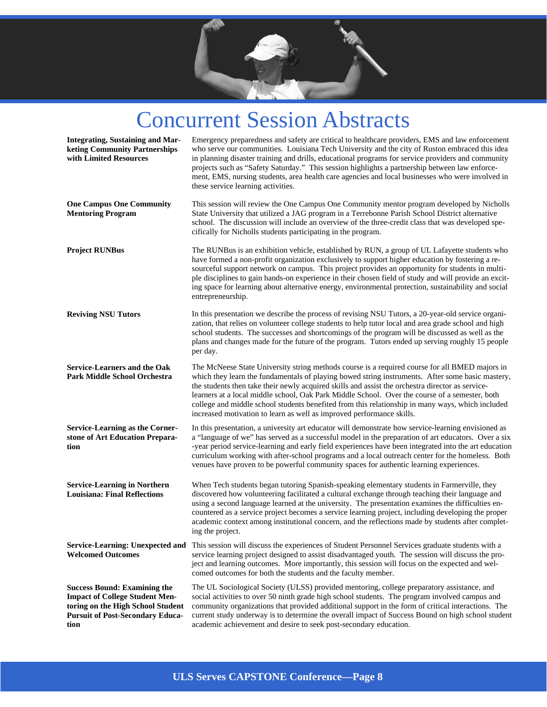

## Concurrent Session Abstracts

| <b>Integrating, Sustaining and Mar-</b><br>keting Community Partnerships<br>with Limited Resources                                                                   | Emergency preparedness and safety are critical to healthcare providers, EMS and law enforcement<br>who serve our communities. Louisiana Tech University and the city of Ruston embraced this idea<br>in planning disaster training and drills, educational programs for service providers and community<br>projects such as "Safety Saturday." This session highlights a partnership between law enforce-<br>ment, EMS, nursing students, area health care agencies and local businesses who were involved in<br>these service learning activities.                                   |
|----------------------------------------------------------------------------------------------------------------------------------------------------------------------|---------------------------------------------------------------------------------------------------------------------------------------------------------------------------------------------------------------------------------------------------------------------------------------------------------------------------------------------------------------------------------------------------------------------------------------------------------------------------------------------------------------------------------------------------------------------------------------|
| <b>One Campus One Community</b><br><b>Mentoring Program</b>                                                                                                          | This session will review the One Campus One Community mentor program developed by Nicholls<br>State University that utilized a JAG program in a Terrebonne Parish School District alternative<br>school. The discussion will include an overview of the three-credit class that was developed spe-<br>cifically for Nicholls students participating in the program.                                                                                                                                                                                                                   |
| <b>Project RUNBus</b>                                                                                                                                                | The RUNBus is an exhibition vehicle, established by RUN, a group of UL Lafayette students who<br>have formed a non-profit organization exclusively to support higher education by fostering a re-<br>sourceful support network on campus. This project provides an opportunity for students in multi-<br>ple disciplines to gain hands-on experience in their chosen field of study and will provide an excit-<br>ing space for learning about alternative energy, environmental protection, sustainability and social<br>entrepreneurship.                                           |
| <b>Reviving NSU Tutors</b>                                                                                                                                           | In this presentation we describe the process of revising NSU Tutors, a 20-year-old service organi-<br>zation, that relies on volunteer college students to help tutor local and area grade school and high<br>school students. The successes and shortcomings of the program will be discussed as well as the<br>plans and changes made for the future of the program. Tutors ended up serving roughly 15 people<br>per day.                                                                                                                                                          |
| <b>Service-Learners and the Oak</b><br>Park Middle School Orchestra                                                                                                  | The McNeese State University string methods course is a required course for all BMED majors in<br>which they learn the fundamentals of playing bowed string instruments. After some basic mastery,<br>the students then take their newly acquired skills and assist the orchestra director as service-<br>learners at a local middle school, Oak Park Middle School. Over the course of a semester, both<br>college and middle school students benefited from this relationship in many ways, which included<br>increased motivation to learn as well as improved performance skills. |
| <b>Service-Learning as the Corner-</b><br>stone of Art Education Prepara-<br>tion                                                                                    | In this presentation, a university art educator will demonstrate how service-learning envisioned as<br>a "language of we" has served as a successful model in the preparation of art educators. Over a six<br>-year period service-learning and early field experiences have been integrated into the art education<br>curriculum working with after-school programs and a local outreach center for the homeless. Both<br>venues have proven to be powerful community spaces for authentic learning experiences.                                                                     |
| <b>Service-Learning in Northern</b><br><b>Louisiana: Final Reflections</b>                                                                                           | When Tech students began tutoring Spanish-speaking elementary students in Farmerville, they<br>discovered how volunteering facilitated a cultural exchange through teaching their language and<br>using a second language learned at the university. The presentation examines the difficulties en-<br>countered as a service project becomes a service learning project, including developing the proper<br>academic context among institutional concern, and the reflections made by students after complet-<br>ing the project.                                                    |
| <b>Welcomed Outcomes</b>                                                                                                                                             | Service-Learning: Unexpected and This session will discuss the experiences of Student Personnel Services graduate students with a<br>service learning project designed to assist disadvantaged youth. The session will discuss the pro-<br>ject and learning outcomes. More importantly, this session will focus on the expected and wel-<br>comed outcomes for both the students and the faculty member.                                                                                                                                                                             |
| <b>Success Bound: Examining the</b><br><b>Impact of College Student Men-</b><br>toring on the High School Student<br><b>Pursuit of Post-Secondary Educa-</b><br>tion | The UL Sociological Society (ULSS) provided mentoring, college preparatory assistance, and<br>social activities to over 50 ninth grade high school students. The program involved campus and<br>community organizations that provided additional support in the form of critical interactions. The<br>current study underway is to determine the overall impact of Success Bound on high school student<br>academic achievement and desire to seek post-secondary education.                                                                                                          |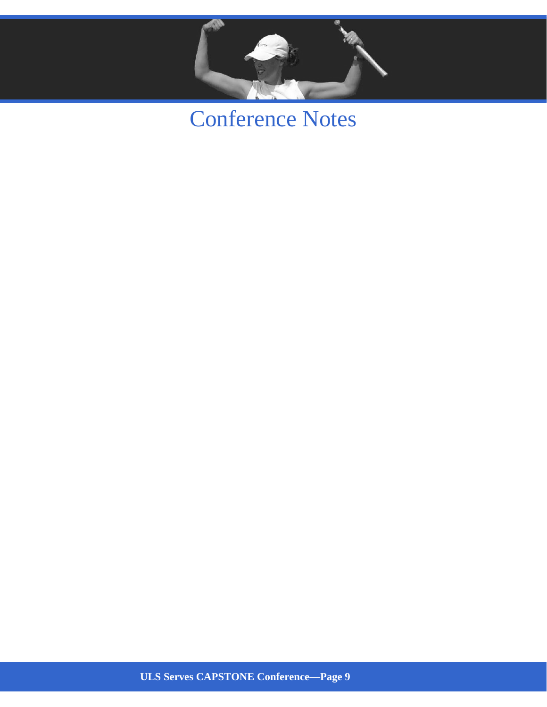

Conference Notes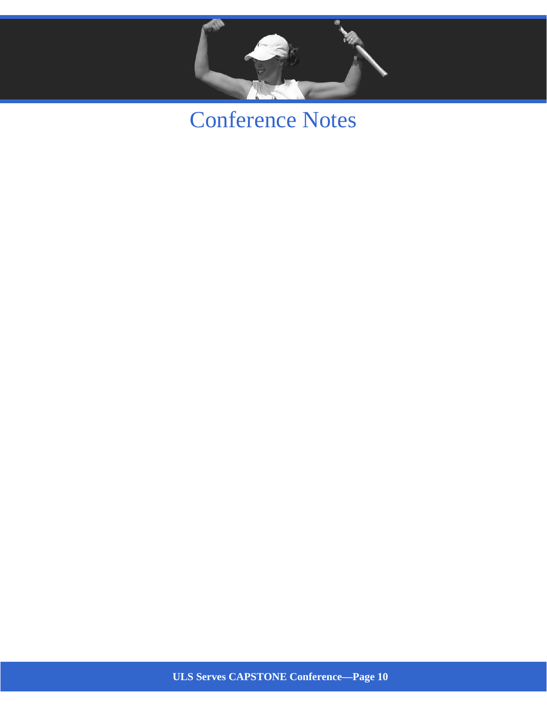

## Conference Notes

**ULS Serves CAPSTONE Conference—Page 10**